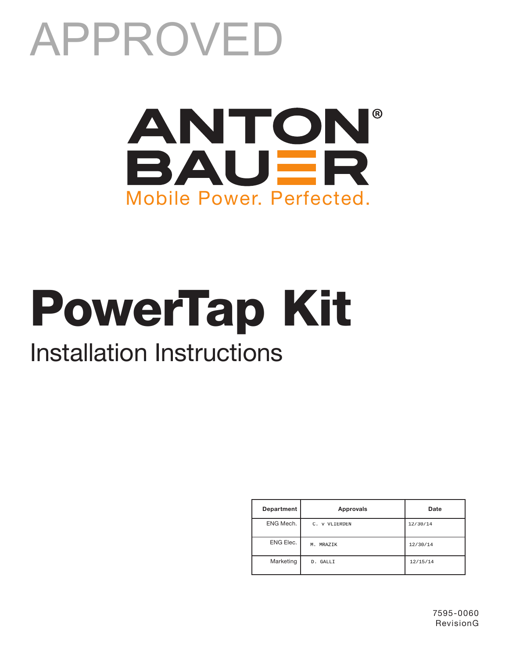# APPROVED



# PowerTap Kit

## Installation Instructions

| Department | Approvals     | Date     |
|------------|---------------|----------|
| ENG Mech.  | C. v VLIERDEN | 12/30/14 |
| ENG Elec.  | M. MRAZTK     | 12/30/14 |
| Marketing  | D. GALLI      | 12/15/14 |

7595-0060 RevisionG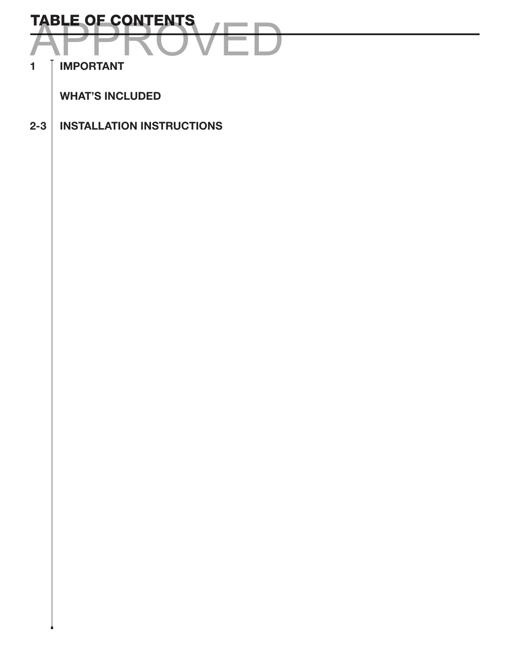

1 | IMPORTANT

WHAT'S INCLUDED

2-3 INSTALLATION INSTRUCTIONS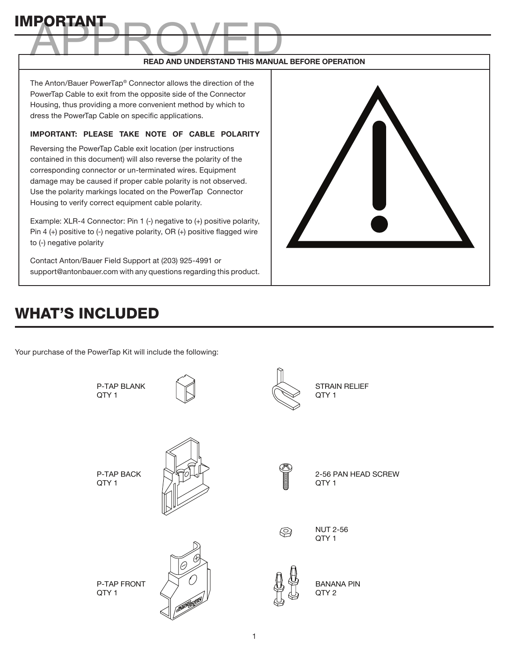### READ AND UNDERSTAND THIS MANUAL BEFORE OPERATION ROVED

The Anton/Bauer PowerTap® Connector allows the direction of the PowerTap Cable to exit from the opposite side of the Connector Housing, thus providing a more convenient method by which to dress the PowerTap Cable on specific applications.

#### IMPORTANT: PLEASE TAKE NOTE OF CABLE POLARITY

Reversing the PowerTap Cable exit location (per instructions contained in this document) will also reverse the polarity of the corresponding connector or un-terminated wires. Equipment damage may be caused if proper cable polarity is not observed. Use the polarity markings located on the PowerTap Connector Housing to verify correct equipment cable polarity.

Example: XLR-4 Connector: Pin 1 (-) negative to (+) positive polarity, Pin 4 (+) positive to (-) negative polarity, OR (+) positive flagged wire to (-) negative polarity

Contact Anton/Bauer Field Support at (203) 925-4991 or support@antonbauer.com with any questions regarding this product.



#### WHAT'S INCLUDED

IMPORTANT

Your purchase of the PowerTap Kit will include the following:

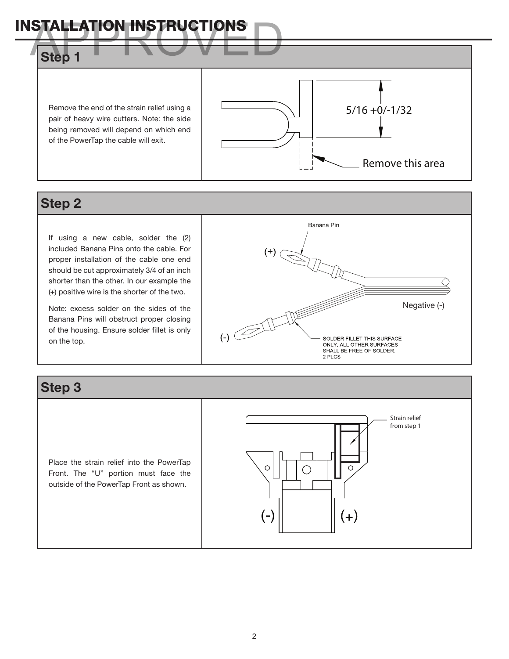

#### Step 2

If using a new cable, solder the (2) included Banana Pins onto the cable. For proper installation of the cable one end should be cut approximately 3/4 of an inch shorter than the other. In our example the (+) positive wire is the shorter of the two.

Note: excess solder on the sides of the Banana Pins will obstruct proper closing of the housing. Ensure solder fillet is only on the top.



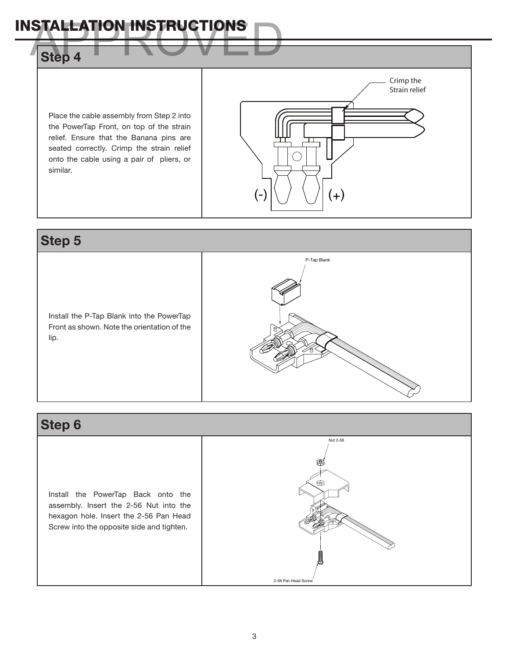#### INSTALLATION INSTRUCTIONS Step 4 Place the cable assembly from Step 2 into the PowerTap Front, on top of the strain relief. Ensure that the Banana pins are seated correctly. Crimp the strain relief onto the cable using a pair of pliers, or similar. Crimp the Strain relief

 $(-)$ 

#### Step 5

Install the P-Tap Blank into the PowerTap Front as shown. Note the orientation of the lip.



 $(+)$ 

#### Step 6

Install the PowerTap Back onto the assembly. Insert the 2-56 Nut into the hexagon hole. Insert the 2-56 Pan Head Screw into the opposite side and tighten.